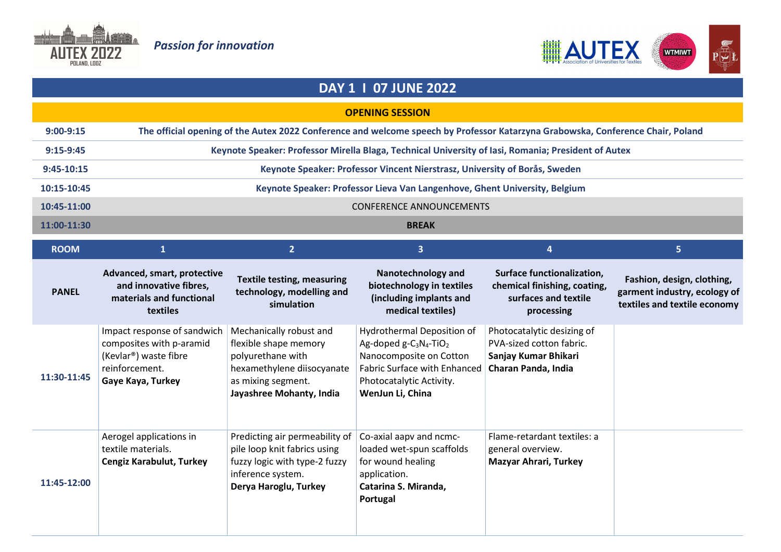



## DAY 1 I 07 JUNE 2022

## OPENING SESSION

| $9:00-9:15$   | The official opening of the Autex 2022 Conference and welcome speech by Professor Katarzyna Grabowska, Conference Chair, Poland |
|---------------|---------------------------------------------------------------------------------------------------------------------------------|
| $9:15-9:45$   | Keynote Speaker: Professor Mirella Blaga, Technical University of Iasi, Romania; President of Autex                             |
| $9:45-10:15$  | Keynote Speaker: Professor Vincent Nierstrasz, University of Borås, Sweden                                                      |
| 10:15-10:45   | Keynote Speaker: Professor Lieva Van Langenhove, Ghent University, Belgium                                                      |
| $10:45-11:00$ | <b>CONFERENCE ANNOUNCEMENTS</b>                                                                                                 |
| 11:00-11:30   | <b>BREAK</b>                                                                                                                    |
|               |                                                                                                                                 |

| <b>ROOM</b>  |                                                                                                                                      | $\overline{2}$                                                                                                                                        | 3                                                                                                                                                                                       | 4                                                                                                     | 5.                                                                                         |
|--------------|--------------------------------------------------------------------------------------------------------------------------------------|-------------------------------------------------------------------------------------------------------------------------------------------------------|-----------------------------------------------------------------------------------------------------------------------------------------------------------------------------------------|-------------------------------------------------------------------------------------------------------|--------------------------------------------------------------------------------------------|
| <b>PANEL</b> | Advanced, smart, protective<br>and innovative fibres,<br>materials and functional<br>textiles                                        | <b>Textile testing, measuring</b><br>technology, modelling and<br>simulation                                                                          | Nanotechnology and<br>biotechnology in textiles<br>(including implants and<br>medical textiles)                                                                                         | Surface functionalization,<br>chemical finishing, coating,<br>surfaces and textile<br>processing      | Fashion, design, clothing,<br>garment industry, ecology of<br>textiles and textile economy |
| 11:30-11:45  | Impact response of sandwich<br>composites with p-aramid<br>(Kevlar <sup>®</sup> ) waste fibre<br>reinforcement.<br>Gaye Kaya, Turkey | Mechanically robust and<br>flexible shape memory<br>polyurethane with<br>hexamethylene diisocyanate<br>as mixing segment.<br>Jayashree Mohanty, India | Hydrothermal Deposition of<br>Ag-doped $g - C_3N_4$ -TiO <sub>2</sub><br>Nanocomposite on Cotton<br><b>Fabric Surface with Enhanced</b><br>Photocatalytic Activity.<br>WenJun Li, China | Photocatalytic desizing of<br>PVA-sized cotton fabric.<br>Sanjay Kumar Bhikari<br>Charan Panda, India |                                                                                            |
| 11:45-12:00  | Aerogel applications in<br>textile materials.<br>Cengiz Karabulut, Turkey                                                            | Predicting air permeability of<br>pile loop knit fabrics using<br>fuzzy logic with type-2 fuzzy<br>inference system.<br>Derya Haroglu, Turkey         | Co-axial aapv and ncmc-<br>loaded wet-spun scaffolds<br>for wound healing<br>application.<br>Catarina S. Miranda,<br>Portugal                                                           | Flame-retardant textiles: a<br>general overview.<br><b>Mazyar Ahrari, Turkey</b>                      |                                                                                            |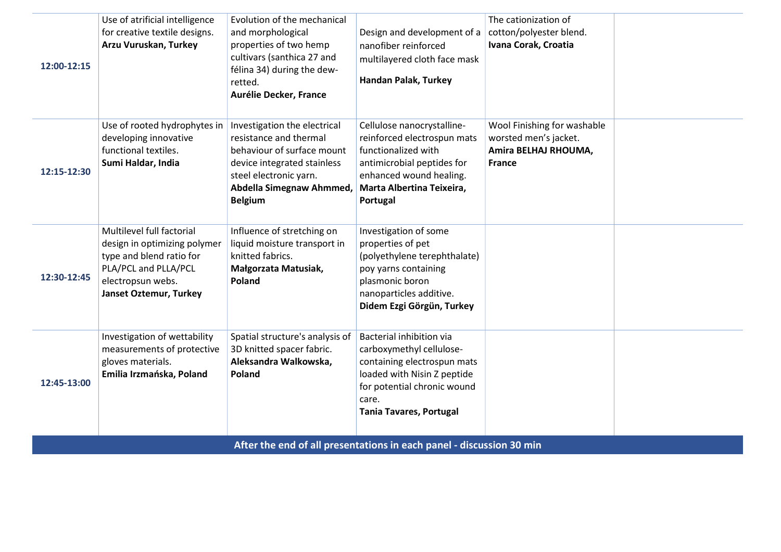| 12:00-12:15 | Use of atrificial intelligence<br>for creative textile designs.<br>Arzu Vuruskan, Turkey                                                                            | Evolution of the mechanical<br>and morphological<br>properties of two hemp<br>cultivars (santhica 27 and<br>félina 34) during the dew-<br>retted.<br>Aurélie Decker, France                 | Design and development of a<br>nanofiber reinforced<br>multilayered cloth face mask<br>Handan Palak, Turkey                                                                                  | The cationization of<br>cotton/polyester blend.<br>Ivana Corak, Croatia                       |  |
|-------------|---------------------------------------------------------------------------------------------------------------------------------------------------------------------|---------------------------------------------------------------------------------------------------------------------------------------------------------------------------------------------|----------------------------------------------------------------------------------------------------------------------------------------------------------------------------------------------|-----------------------------------------------------------------------------------------------|--|
| 12:15-12:30 | Use of rooted hydrophytes in<br>developing innovative<br>functional textiles.<br>Sumi Haldar, India                                                                 | Investigation the electrical<br>resistance and thermal<br>behaviour of surface mount<br>device integrated stainless<br>steel electronic yarn.<br>Abdella Simegnaw Ahmmed,<br><b>Belgium</b> | Cellulose nanocrystalline-<br>reinforced electrospun mats<br>functionalized with<br>antimicrobial peptides for<br>enhanced wound healing.<br>Marta Albertina Teixeira,<br>Portugal           | Wool Finishing for washable<br>worsted men's jacket.<br>Amira BELHAJ RHOUMA,<br><b>France</b> |  |
| 12:30-12:45 | Multilevel full factorial<br>design in optimizing polymer<br>type and blend ratio for<br>PLA/PCL and PLLA/PCL<br>electropsun webs.<br><b>Janset Oztemur, Turkey</b> | Influence of stretching on<br>liquid moisture transport in<br>knitted fabrics.<br>Małgorzata Matusiak,<br>Poland                                                                            | Investigation of some<br>properties of pet<br>(polyethylene terephthalate)<br>poy yarns containing<br>plasmonic boron<br>nanoparticles additive.<br>Didem Ezgi Görgün, Turkey                |                                                                                               |  |
| 12:45-13:00 | Investigation of wettability<br>measurements of protective<br>gloves materials.<br>Emilia Irzmańska, Poland                                                         | Spatial structure's analysis of<br>3D knitted spacer fabric.<br>Aleksandra Walkowska,<br>Poland                                                                                             | Bacterial inhibition via<br>carboxymethyl cellulose-<br>containing electrospun mats<br>loaded with Nisin Z peptide<br>for potential chronic wound<br>care.<br><b>Tania Tavares, Portugal</b> |                                                                                               |  |
|             |                                                                                                                                                                     |                                                                                                                                                                                             | After the end of all presentations in each panel - discussion 30 min                                                                                                                         |                                                                                               |  |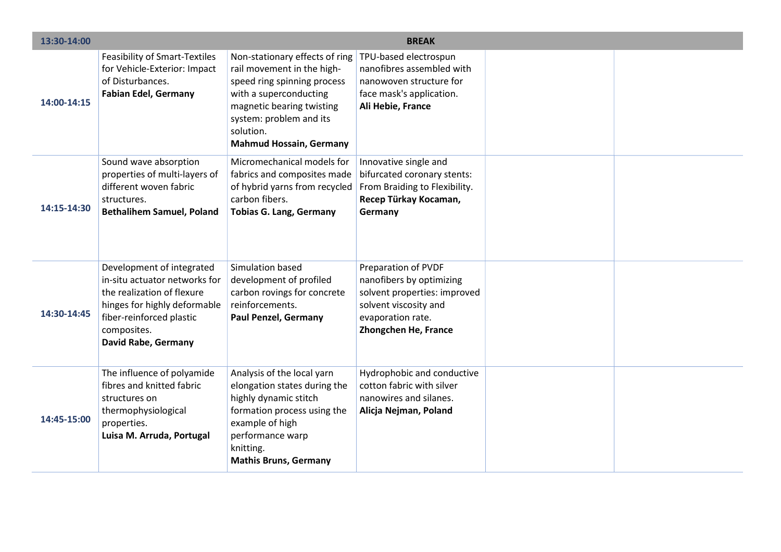| 13:30-14:00 |                                                                                                                                                                                                   |                                                                                                                                                                                                                              | <b>BREAK</b>                                                                                                                                          |  |
|-------------|---------------------------------------------------------------------------------------------------------------------------------------------------------------------------------------------------|------------------------------------------------------------------------------------------------------------------------------------------------------------------------------------------------------------------------------|-------------------------------------------------------------------------------------------------------------------------------------------------------|--|
| 14:00-14:15 | <b>Feasibility of Smart-Textiles</b><br>for Vehicle-Exterior: Impact<br>of Disturbances.<br><b>Fabian Edel, Germany</b>                                                                           | Non-stationary effects of ring<br>rail movement in the high-<br>speed ring spinning process<br>with a superconducting<br>magnetic bearing twisting<br>system: problem and its<br>solution.<br><b>Mahmud Hossain, Germany</b> | TPU-based electrospun<br>nanofibres assembled with<br>nanowoven structure for<br>face mask's application.<br>Ali Hebie, France                        |  |
| 14:15-14:30 | Sound wave absorption<br>properties of multi-layers of<br>different woven fabric<br>structures.<br><b>Bethalihem Samuel, Poland</b>                                                               | Micromechanical models for<br>fabrics and composites made<br>of hybrid yarns from recycled<br>carbon fibers.<br><b>Tobias G. Lang, Germany</b>                                                                               | Innovative single and<br>bifurcated coronary stents:<br>From Braiding to Flexibility.<br>Recep Türkay Kocaman,<br>Germany                             |  |
| 14:30-14:45 | Development of integrated<br>in-situ actuator networks for<br>the realization of flexure<br>hinges for highly deformable<br>fiber-reinforced plastic<br>composites.<br><b>David Rabe, Germany</b> | Simulation based<br>development of profiled<br>carbon rovings for concrete<br>reinforcements.<br><b>Paul Penzel, Germany</b>                                                                                                 | Preparation of PVDF<br>nanofibers by optimizing<br>solvent properties: improved<br>solvent viscosity and<br>evaporation rate.<br>Zhongchen He, France |  |
| 14:45-15:00 | The influence of polyamide<br>fibres and knitted fabric<br>structures on<br>thermophysiological<br>properties.<br>Luisa M. Arruda, Portugal                                                       | Analysis of the local yarn<br>elongation states during the<br>highly dynamic stitch<br>formation process using the<br>example of high<br>performance warp<br>knitting.<br><b>Mathis Bruns, Germany</b>                       | Hydrophobic and conductive<br>cotton fabric with silver<br>nanowires and silanes.<br>Alicja Nejman, Poland                                            |  |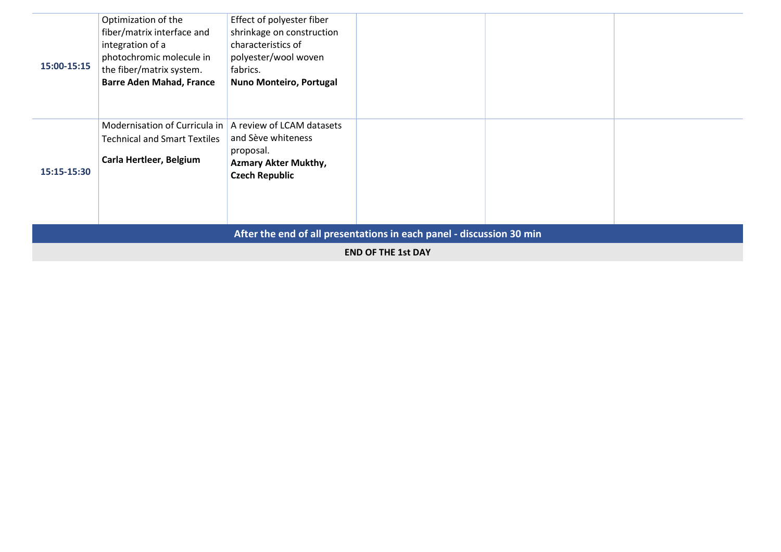| 15:00-15:15                                                          | Optimization of the<br>fiber/matrix interface and<br>integration of a<br>photochromic molecule in<br>the fiber/matrix system.<br><b>Barre Aden Mahad, France</b> | Effect of polyester fiber<br>shrinkage on construction<br>characteristics of<br>polyester/wool woven<br>fabrics.<br>Nuno Monteiro, Portugal |  |  |  |
|----------------------------------------------------------------------|------------------------------------------------------------------------------------------------------------------------------------------------------------------|---------------------------------------------------------------------------------------------------------------------------------------------|--|--|--|
| 15:15-15:30                                                          | Modernisation of Curricula in   A review of LCAM datasets<br><b>Technical and Smart Textiles</b><br>Carla Hertleer, Belgium                                      | and Sève whiteness<br>proposal.<br><b>Azmary Akter Mukthy,</b><br><b>Czech Republic</b>                                                     |  |  |  |
| After the end of all presentations in each panel - discussion 30 min |                                                                                                                                                                  |                                                                                                                                             |  |  |  |
| <b>END OF THE 1st DAY</b>                                            |                                                                                                                                                                  |                                                                                                                                             |  |  |  |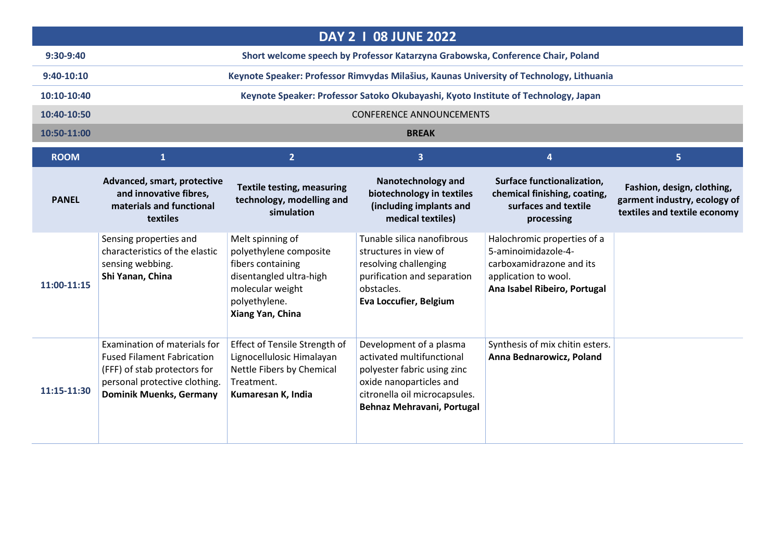|               |                                                                                                                                                                      |                                                                                                                                                     | <b>DAY 2   08 JUNE 2022</b>                                                                                                                                                   |                                                                                                                                        |                                                                                            |
|---------------|----------------------------------------------------------------------------------------------------------------------------------------------------------------------|-----------------------------------------------------------------------------------------------------------------------------------------------------|-------------------------------------------------------------------------------------------------------------------------------------------------------------------------------|----------------------------------------------------------------------------------------------------------------------------------------|--------------------------------------------------------------------------------------------|
| 9:30-9:40     |                                                                                                                                                                      |                                                                                                                                                     | Short welcome speech by Professor Katarzyna Grabowska, Conference Chair, Poland                                                                                               |                                                                                                                                        |                                                                                            |
| 9:40-10:10    |                                                                                                                                                                      |                                                                                                                                                     | Keynote Speaker: Professor Rimvydas Milašius, Kaunas University of Technology, Lithuania                                                                                      |                                                                                                                                        |                                                                                            |
| $10:10-10:40$ |                                                                                                                                                                      |                                                                                                                                                     | Keynote Speaker: Professor Satoko Okubayashi, Kyoto Institute of Technology, Japan                                                                                            |                                                                                                                                        |                                                                                            |
| 10:40-10:50   |                                                                                                                                                                      |                                                                                                                                                     | <b>CONFERENCE ANNOUNCEMENTS</b>                                                                                                                                               |                                                                                                                                        |                                                                                            |
| 10:50-11:00   |                                                                                                                                                                      |                                                                                                                                                     | <b>BREAK</b>                                                                                                                                                                  |                                                                                                                                        |                                                                                            |
| <b>ROOM</b>   | 1                                                                                                                                                                    | 2 <sup>1</sup>                                                                                                                                      | $\overline{\mathbf{3}}$                                                                                                                                                       | 4                                                                                                                                      | 5 <sup>1</sup>                                                                             |
| <b>PANEL</b>  | Advanced, smart, protective<br>and innovative fibres,<br>materials and functional<br>textiles                                                                        | <b>Textile testing, measuring</b><br>technology, modelling and<br>simulation                                                                        | <b>Nanotechnology and</b><br>biotechnology in textiles<br>(including implants and<br>medical textiles)                                                                        | <b>Surface functionalization,</b><br>chemical finishing, coating,<br>surfaces and textile<br>processing                                | Fashion, design, clothing,<br>garment industry, ecology of<br>textiles and textile economy |
| 11:00-11:15   | Sensing properties and<br>characteristics of the elastic<br>sensing webbing.<br>Shi Yanan, China                                                                     | Melt spinning of<br>polyethylene composite<br>fibers containing<br>disentangled ultra-high<br>molecular weight<br>polyethylene.<br>Xiang Yan, China | Tunable silica nanofibrous<br>structures in view of<br>resolving challenging<br>purification and separation<br>obstacles.<br>Eva Loccufier, Belgium                           | Halochromic properties of a<br>5-aminoimidazole-4-<br>carboxamidrazone and its<br>application to wool.<br>Ana Isabel Ribeiro, Portugal |                                                                                            |
| 11:15-11:30   | Examination of materials for<br><b>Fused Filament Fabrication</b><br>(FFF) of stab protectors for<br>personal protective clothing.<br><b>Dominik Muenks, Germany</b> | Effect of Tensile Strength of<br>Lignocellulosic Himalayan<br>Nettle Fibers by Chemical<br>Treatment.<br>Kumaresan K, India                         | Development of a plasma<br>activated multifunctional<br>polyester fabric using zinc<br>oxide nanoparticles and<br>citronella oil microcapsules.<br>Behnaz Mehravani, Portugal | Synthesis of mix chitin esters.<br>Anna Bednarowicz, Poland                                                                            |                                                                                            |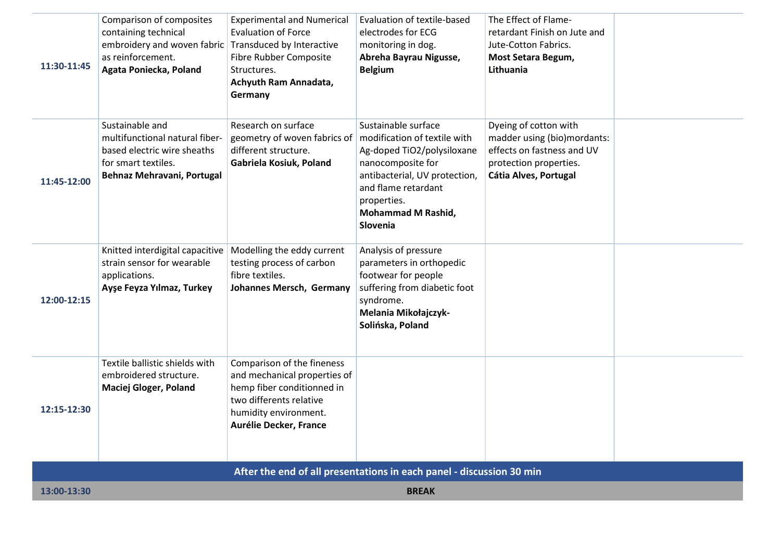| 11:30-11:45 | Comparison of composites<br>containing technical<br>embroidery and woven fabric Transduced by Interactive<br>as reinforcement.<br>Agata Poniecka, Poland | <b>Experimental and Numerical</b><br><b>Evaluation of Force</b><br>Fibre Rubber Composite<br>Structures.<br>Achyuth Ram Annadata,<br>Germany                           | Evaluation of textile-based<br>electrodes for ECG<br>monitoring in dog.<br>Abreha Bayrau Nigusse,<br><b>Belgium</b>                                                                                                    | The Effect of Flame-<br>retardant Finish on Jute and<br>Jute-Cotton Fabrics.<br>Most Setara Begum,<br>Lithuania                       |  |
|-------------|----------------------------------------------------------------------------------------------------------------------------------------------------------|------------------------------------------------------------------------------------------------------------------------------------------------------------------------|------------------------------------------------------------------------------------------------------------------------------------------------------------------------------------------------------------------------|---------------------------------------------------------------------------------------------------------------------------------------|--|
| 11:45-12:00 | Sustainable and<br>multifunctional natural fiber-<br>based electric wire sheaths<br>for smart textiles.<br>Behnaz Mehravani, Portugal                    | Research on surface<br>geometry of woven fabrics of<br>different structure.<br>Gabriela Kosiuk, Poland                                                                 | Sustainable surface<br>modification of textile with<br>Ag-doped TiO2/polysiloxane<br>nanocomposite for<br>antibacterial, UV protection,<br>and flame retardant<br>properties.<br><b>Mohammad M Rashid,</b><br>Slovenia | Dyeing of cotton with<br>madder using (bio)mordants:<br>effects on fastness and UV<br>protection properties.<br>Cátia Alves, Portugal |  |
| 12:00-12:15 | Knitted interdigital capacitive<br>strain sensor for wearable<br>applications.<br>Ayşe Feyza Yılmaz, Turkey                                              | Modelling the eddy current<br>testing process of carbon<br>fibre textiles.<br>Johannes Mersch, Germany                                                                 | Analysis of pressure<br>parameters in orthopedic<br>footwear for people<br>suffering from diabetic foot<br>syndrome.<br>Melania Mikołajczyk-<br>Solińska, Poland                                                       |                                                                                                                                       |  |
| 12:15-12:30 | Textile ballistic shields with<br>embroidered structure.<br><b>Maciej Gloger, Poland</b>                                                                 | Comparison of the fineness<br>and mechanical properties of<br>hemp fiber conditionned in<br>two differents relative<br>humidity environment.<br>Aurélie Decker, France |                                                                                                                                                                                                                        |                                                                                                                                       |  |
|             |                                                                                                                                                          |                                                                                                                                                                        | After the end of all presentations in each panel - discussion 30 min                                                                                                                                                   |                                                                                                                                       |  |
| 13:00-13:30 |                                                                                                                                                          |                                                                                                                                                                        | <b>BREAK</b>                                                                                                                                                                                                           |                                                                                                                                       |  |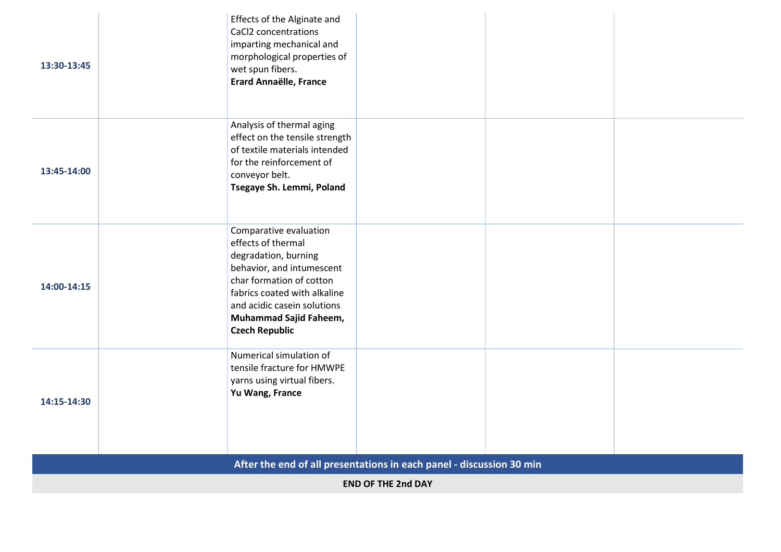| 13:30-13:45 | Effects of the Alginate and<br>CaCl2 concentrations<br>imparting mechanical and<br>morphological properties of<br>wet spun fibers.<br><b>Erard Annaëlle, France</b>                                                                             |  |
|-------------|-------------------------------------------------------------------------------------------------------------------------------------------------------------------------------------------------------------------------------------------------|--|
| 13:45-14:00 | Analysis of thermal aging<br>effect on the tensile strength<br>of textile materials intended<br>for the reinforcement of<br>conveyor belt.<br>Tsegaye Sh. Lemmi, Poland                                                                         |  |
| 14:00-14:15 | Comparative evaluation<br>effects of thermal<br>degradation, burning<br>behavior, and intumescent<br>char formation of cotton<br>fabrics coated with alkaline<br>and acidic casein solutions<br>Muhammad Sajid Faheem,<br><b>Czech Republic</b> |  |
| 14:15-14:30 | Numerical simulation of<br>tensile fracture for HMWPE<br>yarns using virtual fibers.<br>Yu Wang, France                                                                                                                                         |  |
|             | After the end of all presentations in each panel - discussion 30 min                                                                                                                                                                            |  |
|             | <b>END OF THE 2nd DAY</b>                                                                                                                                                                                                                       |  |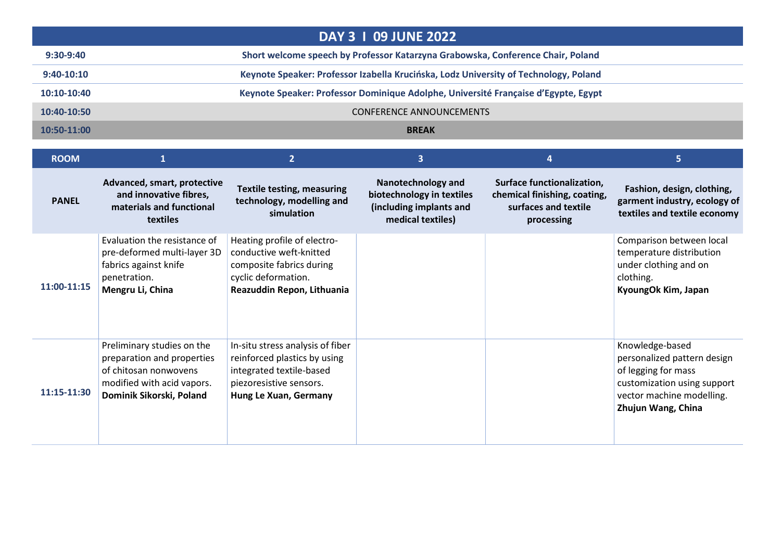|               | <b>DAY 3 1 09 JUNE 2022</b>                                                          |  |  |  |
|---------------|--------------------------------------------------------------------------------------|--|--|--|
| $9:30-9:40$   | Short welcome speech by Professor Katarzyna Grabowska, Conference Chair, Poland      |  |  |  |
| $9:40-10:10$  | Keynote Speaker: Professor Izabella Krucińska, Lodz University of Technology, Poland |  |  |  |
| $10:10-10:40$ | Keynote Speaker: Professor Dominique Adolphe, Université Française d'Egypte, Egypt   |  |  |  |
| 10:40-10:50   | <b>CONFERENCE ANNOUNCEMENTS</b>                                                      |  |  |  |
| $10:50-11:00$ | <b>BREAK</b>                                                                         |  |  |  |

| <b>ROOM</b>  |                                                                                                                                             | $\overline{2}$                                                                                                                                   | 3                                                                                                      |                                                                                                  | 5                                                                                                                                                       |
|--------------|---------------------------------------------------------------------------------------------------------------------------------------------|--------------------------------------------------------------------------------------------------------------------------------------------------|--------------------------------------------------------------------------------------------------------|--------------------------------------------------------------------------------------------------|---------------------------------------------------------------------------------------------------------------------------------------------------------|
| <b>PANEL</b> | Advanced, smart, protective<br>and innovative fibres,<br>materials and functional<br>textiles                                               | <b>Textile testing, measuring</b><br>technology, modelling and<br>simulation                                                                     | <b>Nanotechnology and</b><br>biotechnology in textiles<br>(including implants and<br>medical textiles) | Surface functionalization,<br>chemical finishing, coating,<br>surfaces and textile<br>processing | Fashion, design, clothing,<br>garment industry, ecology of<br>textiles and textile economy                                                              |
| 11:00-11:15  | Evaluation the resistance of<br>pre-deformed multi-layer 3D<br>fabrics against knife<br>penetration.<br>Mengru Li, China                    | Heating profile of electro-<br>conductive weft-knitted<br>composite fabrics during<br>cyclic deformation.<br>Reazuddin Repon, Lithuania          |                                                                                                        |                                                                                                  | Comparison between local<br>temperature distribution<br>under clothing and on<br>clothing.<br>KyoungOk Kim, Japan                                       |
| 11:15-11:30  | Preliminary studies on the<br>preparation and properties<br>of chitosan nonwovens<br>modified with acid vapors.<br>Dominik Sikorski, Poland | In-situ stress analysis of fiber<br>reinforced plastics by using<br>integrated textile-based<br>piezoresistive sensors.<br>Hung Le Xuan, Germany |                                                                                                        |                                                                                                  | Knowledge-based<br>personalized pattern design<br>of legging for mass<br>customization using support<br>vector machine modelling.<br>Zhujun Wang, China |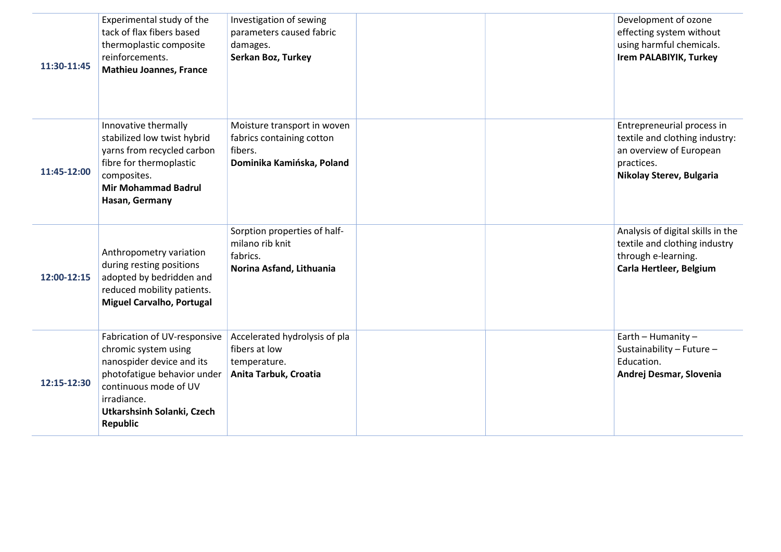| 11:30-11:45 | Experimental study of the<br>tack of flax fibers based<br>thermoplastic composite<br>reinforcements.<br><b>Mathieu Joannes, France</b>                                                                    | Investigation of sewing<br>parameters caused fabric<br>damages.<br>Serkan Boz, Turkey            |  | Development of ozone<br>effecting system without<br>using harmful chemicals.<br><b>Irem PALABIYIK, Turkey</b>                     |
|-------------|-----------------------------------------------------------------------------------------------------------------------------------------------------------------------------------------------------------|--------------------------------------------------------------------------------------------------|--|-----------------------------------------------------------------------------------------------------------------------------------|
| 11:45-12:00 | Innovative thermally<br>stabilized low twist hybrid<br>yarns from recycled carbon<br>fibre for thermoplastic<br>composites.<br><b>Mir Mohammad Badrul</b><br>Hasan, Germany                               | Moisture transport in woven<br>fabrics containing cotton<br>fibers.<br>Dominika Kamińska, Poland |  | Entrepreneurial process in<br>textile and clothing industry:<br>an overview of European<br>practices.<br>Nikolay Sterev, Bulgaria |
| 12:00-12:15 | Anthropometry variation<br>during resting positions<br>adopted by bedridden and<br>reduced mobility patients.<br><b>Miguel Carvalho, Portugal</b>                                                         | Sorption properties of half-<br>milano rib knit<br>fabrics.<br>Norina Asfand, Lithuania          |  | Analysis of digital skills in the<br>textile and clothing industry<br>through e-learning.<br>Carla Hertleer, Belgium              |
| 12:15-12:30 | Fabrication of UV-responsive<br>chromic system using<br>nanospider device and its<br>photofatigue behavior under<br>continuous mode of UV<br>irradiance.<br>Utkarshsinh Solanki, Czech<br><b>Republic</b> | Accelerated hydrolysis of pla<br>fibers at low<br>temperature.<br>Anita Tarbuk, Croatia          |  | Earth - Humanity -<br>Sustainability - Future -<br>Education.<br>Andrej Desmar, Slovenia                                          |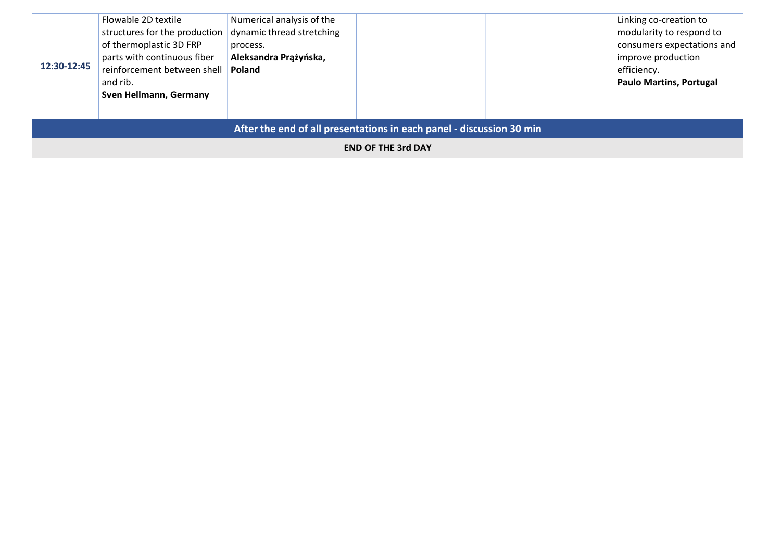|                                                                      | Flowable 2D textile           | Numerical analysis of the |  |  | Linking co-creation to         |
|----------------------------------------------------------------------|-------------------------------|---------------------------|--|--|--------------------------------|
|                                                                      | structures for the production | dynamic thread stretching |  |  | modularity to respond to       |
|                                                                      | of thermoplastic 3D FRP       | process.                  |  |  | consumers expectations and     |
|                                                                      | parts with continuous fiber   | Aleksandra Prążyńska,     |  |  | improve production             |
| 12:30-12:45                                                          | reinforcement between shell   | Poland                    |  |  | efficiency.                    |
|                                                                      | and rib.                      |                           |  |  | <b>Paulo Martins, Portugal</b> |
|                                                                      | Sven Hellmann, Germany        |                           |  |  |                                |
|                                                                      |                               |                           |  |  |                                |
|                                                                      |                               |                           |  |  |                                |
| After the end of all presentations in each panel - discussion 30 min |                               |                           |  |  |                                |

END OF THE 3rd DAY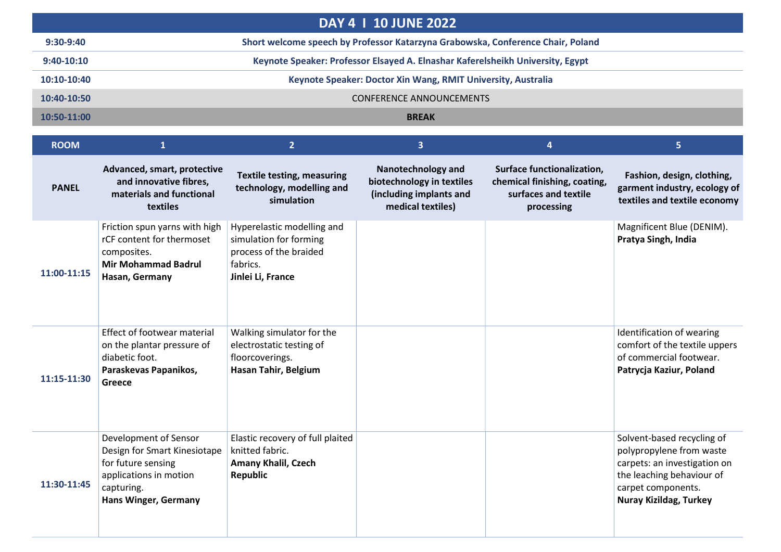| <b>DAY 4 1 10 JUNE 2022</b> |                                                                                 |  |  |  |  |
|-----------------------------|---------------------------------------------------------------------------------|--|--|--|--|
| $9:30-9:40$                 | Short welcome speech by Professor Katarzyna Grabowska, Conference Chair, Poland |  |  |  |  |
| $9:40-10:10$                | Keynote Speaker: Professor Elsayed A. Elnashar Kaferelsheikh University, Egypt  |  |  |  |  |
| $10:10-10:40$               | Keynote Speaker: Doctor Xin Wang, RMIT University, Australia                    |  |  |  |  |
| 10:40-10:50                 | <b>CONFERENCE ANNOUNCEMENTS</b>                                                 |  |  |  |  |
| 10:50-11:00                 | <b>BREAK</b>                                                                    |  |  |  |  |

| <b>ROOM</b>  | $\mathbf{1}$                                                                                                                                       | $\overline{2}$                                                                                                  | $\overline{3}$                                                                                         | 4                                                                                                | 5.                                                                                                                                                                         |
|--------------|----------------------------------------------------------------------------------------------------------------------------------------------------|-----------------------------------------------------------------------------------------------------------------|--------------------------------------------------------------------------------------------------------|--------------------------------------------------------------------------------------------------|----------------------------------------------------------------------------------------------------------------------------------------------------------------------------|
| <b>PANEL</b> | Advanced, smart, protective<br>and innovative fibres,<br>materials and functional<br>textiles                                                      | <b>Textile testing, measuring</b><br>technology, modelling and<br>simulation                                    | <b>Nanotechnology and</b><br>biotechnology in textiles<br>(including implants and<br>medical textiles) | Surface functionalization,<br>chemical finishing, coating,<br>surfaces and textile<br>processing | Fashion, design, clothing,<br>garment industry, ecology of<br>textiles and textile economy                                                                                 |
| 11:00-11:15  | Friction spun yarns with high<br>rCF content for thermoset<br>composites.<br><b>Mir Mohammad Badrul</b><br>Hasan, Germany                          | Hyperelastic modelling and<br>simulation for forming<br>process of the braided<br>fabrics.<br>Jinlei Li, France |                                                                                                        |                                                                                                  | Magnificent Blue (DENIM).<br>Pratya Singh, India                                                                                                                           |
| 11:15-11:30  | <b>Effect of footwear material</b><br>on the plantar pressure of<br>diabetic foot.<br>Paraskevas Papanikos,<br>Greece                              | Walking simulator for the<br>electrostatic testing of<br>floorcoverings.<br>Hasan Tahir, Belgium                |                                                                                                        |                                                                                                  | Identification of wearing<br>comfort of the textile uppers<br>of commercial footwear.<br>Patrycja Kaziur, Poland                                                           |
| 11:30-11:45  | Development of Sensor<br>Design for Smart Kinesiotape<br>for future sensing<br>applications in motion<br>capturing.<br><b>Hans Winger, Germany</b> | Elastic recovery of full plaited<br>knitted fabric.<br><b>Amany Khalil, Czech</b><br><b>Republic</b>            |                                                                                                        |                                                                                                  | Solvent-based recycling of<br>polypropylene from waste<br>carpets: an investigation on<br>the leaching behaviour of<br>carpet components.<br><b>Nuray Kizildag, Turkey</b> |